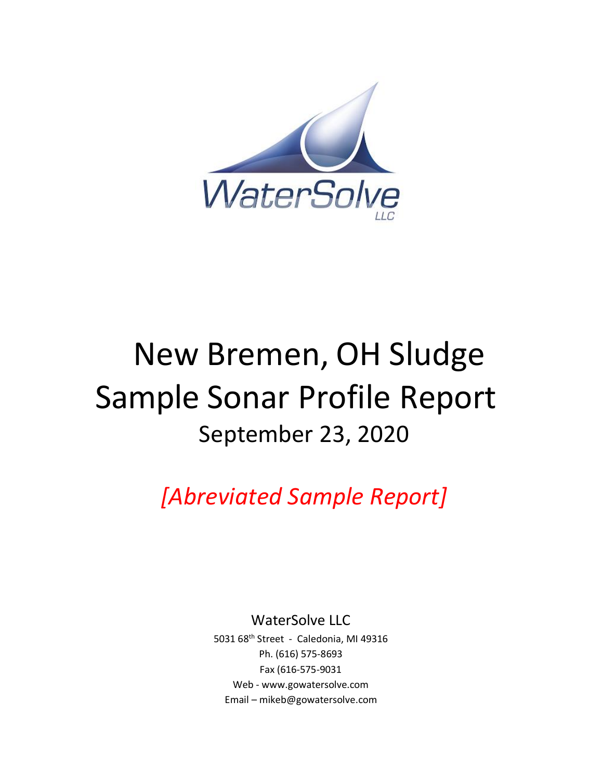

# New Bremen, OH Sludge Sample Sonar Profile Report September 23, 2020

*[Abreviated Sample Report]*

WaterSolve LLC

5031 68th Street - Caledonia, MI 49316 Ph. (616) 575-8693 Fax (616-575-9031 Web - [www.gowatersolve.com](http://www.gowatersolve.com/) Email – mikeb@gowatersolve.com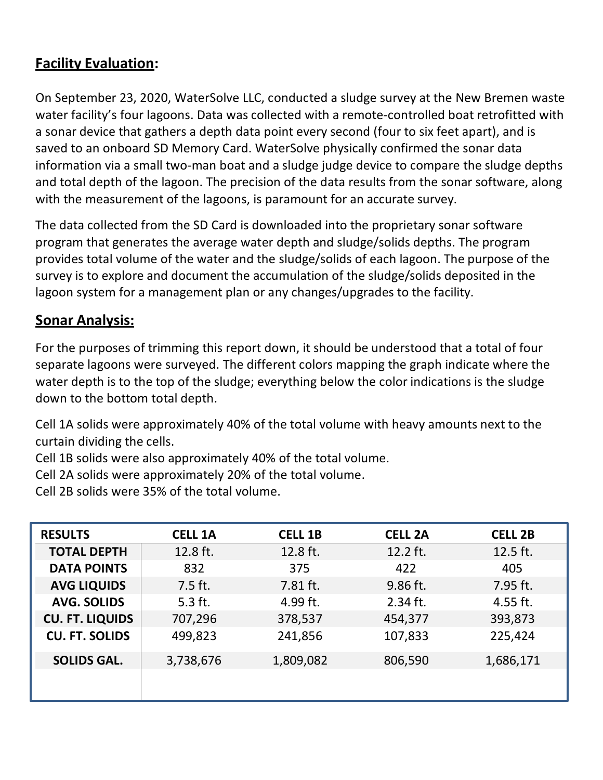# **Facility Evaluation:**

On September 23, 2020, WaterSolve LLC, conducted a sludge survey at the New Bremen waste water facility's four lagoons. Data was collected with a remote-controlled boat retrofitted with a sonar device that gathers a depth data point every second (four to six feet apart), and is saved to an onboard SD Memory Card. WaterSolve physically confirmed the sonar data information via a small two-man boat and a sludge judge device to compare the sludge depths and total depth of the lagoon. The precision of the data results from the sonar software, along with the measurement of the lagoons, is paramount for an accurate survey.

The data collected from the SD Card is downloaded into the proprietary sonar software program that generates the average water depth and sludge/solids depths. The program provides total volume of the water and the sludge/solids of each lagoon. The purpose of the survey is to explore and document the accumulation of the sludge/solids deposited in the lagoon system for a management plan or any changes/upgrades to the facility.

## **Sonar Analysis:**

For the purposes of trimming this report down, it should be understood that a total of four separate lagoons were surveyed. The different colors mapping the graph indicate where the water depth is to the top of the sludge; everything below the color indications is the sludge down to the bottom total depth.

Cell 1A solids were approximately 40% of the total volume with heavy amounts next to the curtain dividing the cells.

Cell 1B solids were also approximately 40% of the total volume.

Cell 2A solids were approximately 20% of the total volume.

Cell 2B solids were 35% of the total volume.

| <b>RESULTS</b>         | <b>CELL 1A</b> | <b>CELL 1B</b> | <b>CELL 2A</b> | <b>CELL 2B</b> |  |
|------------------------|----------------|----------------|----------------|----------------|--|
| <b>TOTAL DEPTH</b>     | 12.8 ft.       | 12.8 ft.       | 12.2 ft.       | 12.5 ft.       |  |
| <b>DATA POINTS</b>     | 832            | 375            | 422            | 405            |  |
| <b>AVG LIQUIDS</b>     | $7.5$ ft.      | 7.81 ft.       | 9.86 ft.       | 7.95 ft.       |  |
| <b>AVG. SOLIDS</b>     | 5.3 ft.        | 4.99 ft.       | $2.34$ ft.     | 4.55 ft.       |  |
| <b>CU. FT. LIQUIDS</b> | 707,296        | 378,537        | 454,377        | 393,873        |  |
| <b>CU. FT. SOLIDS</b>  | 499,823        | 241,856        | 107,833        | 225,424        |  |
| <b>SOLIDS GAL.</b>     | 3,738,676      | 1,809,082      | 806,590        | 1,686,171      |  |
|                        |                |                |                |                |  |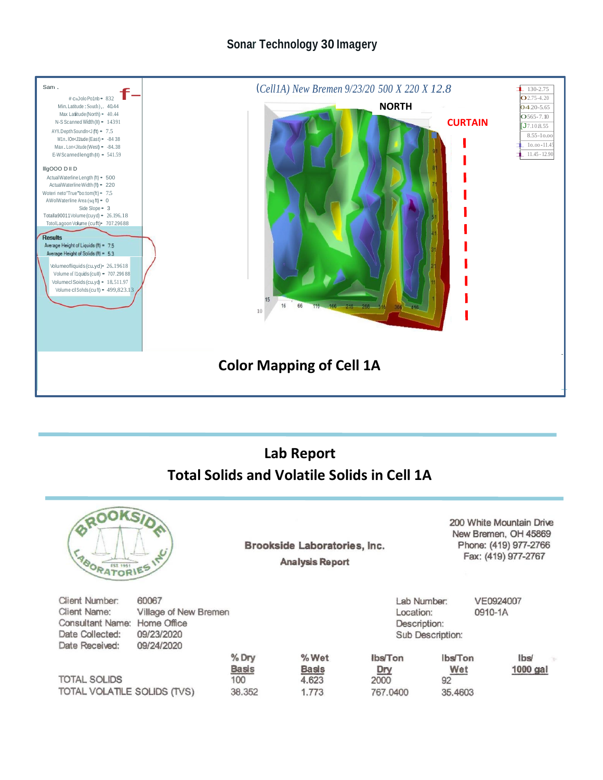### **Sonar Technology 30 Imagery**



# **Lab Report Total Solids and Volatile Solids in Cell 1A**

| <b>BRO</b><br><b>ABORATORIES ITS</b>                                                           | JKSID                                                                     |                                        | Brookside Laboratories, Inc.<br><b>Analysis Report</b> |                                    |                                                              |                                        | 200 White Mountain Drive<br>New Bremen, OH 45869<br>Phone: (419) 977-2766<br>Fax: (419) 977-2767 |
|------------------------------------------------------------------------------------------------|---------------------------------------------------------------------------|----------------------------------------|--------------------------------------------------------|------------------------------------|--------------------------------------------------------------|----------------------------------------|--------------------------------------------------------------------------------------------------|
| Client Number:<br><b>Client Name:</b><br>Consultant Name:<br>Date Collected:<br>Date Received: | 60067<br>Village of New Bremen<br>Home Office<br>09/23/2020<br>09/24/2020 |                                        |                                                        |                                    | Lab Number:<br>Location:<br>Description:<br>Sub Description: |                                        | VE0924007<br>0910-1A                                                                             |
| <b>TOTAL SOLIDS</b><br>TOTAL VOLATILE SOLIDS (TVS)                                             |                                                                           | % Dry<br><b>Basis</b><br>100<br>38.352 | % Wet<br><b>Basis</b><br>4.623<br>1.773                | lbs/Ton<br>Dry<br>2000<br>767.0400 |                                                              | <b>Ibs/Ton</b><br>Wet<br>92<br>35,4603 | <b>Ibs</b><br>$1000$ gal                                                                         |